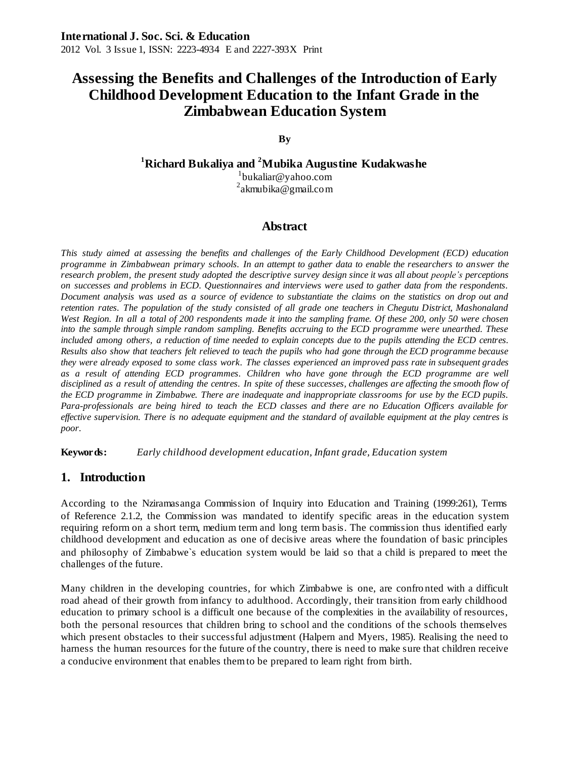#### **By**

**<sup>1</sup>Richard Bukaliya and <sup>2</sup>Mubika Augustine Kudakwashe**

1 [bukaliar@yahoo.com](mailto:bukaliar@yahoo.com) <sup>2</sup>akmubika@gmail.com

# **Abstract**

*This study aimed at assessing the benefits and challenges of the Early Childhood Development (ECD) education programme in Zimbabwean primary schools. In an attempt to gather data to enable the researchers to answer the research problem, the present study adopted the descriptive survey design since it was all about people's perceptions on successes and problems in ECD. Questionnaires and interviews were used to gather data from the respondents. Document analysis was used as a source of evidence to substantiate the claims on the statistics on drop out and retention rates. The population of the study consisted of all grade one teachers in Chegutu District, Mashonaland West Region. In all a total of 200 respondents made it into the sampling frame. Of these 200, only 50 were chosen into the sample through simple random sampling. Benefits accruing to the ECD programme were unearthed. These included among others, a reduction of time needed to explain concepts due to the pupils attending the ECD centres. Results also show that teachers felt relieved to teach the pupils who had gone through the ECD programme because they were already exposed to some class work. The classes experienced an improved pass rate in subsequent grades as a result of attending ECD programmes. Children who have gone through the ECD programme are well disciplined as a result of attending the centres. In spite of these successes, challenges are affecting the smooth flow of the ECD programme in Zimbabwe. There are inadequate and inappropriate classrooms for use by the ECD pupils. Para-professionals are being hired to teach the ECD classes and there are no Education Officers available for effective supervision. There is no adequate equipment and the standard of available equipment at the play centres is poor.*

**Keywords:** *Early childhood development education, Infant grade, Education system*

### **1. Introduction**

According to the Nziramasanga Commission of Inquiry into Education and Training (1999:261), Terms of Reference 2.1.2, the Commission was mandated to identify specific areas in the education system requiring reform on a short term, medium term and long term basis. The commission thus identified early childhood development and education as one of decisive areas where the foundation of basic principles and philosophy of Zimbabwe`s education system would be laid so that a child is prepared to meet the challenges of the future.

Many children in the developing countries, for which Zimbabwe is one, are confro nted with a difficult road ahead of their growth from infancy to adulthood. Accordingly, their transition from early childhood education to primary school is a difficult one because of the complexities in the availability of resources, both the personal resources that children bring to school and the conditions of the schools themselves which present obstacles to their successful adjustment (Halpern and Myers, 1985). Realising the need to harness the human resources for the future of the country, there is need to make sure that children receive a conducive environment that enables them to be prepared to learn right from birth.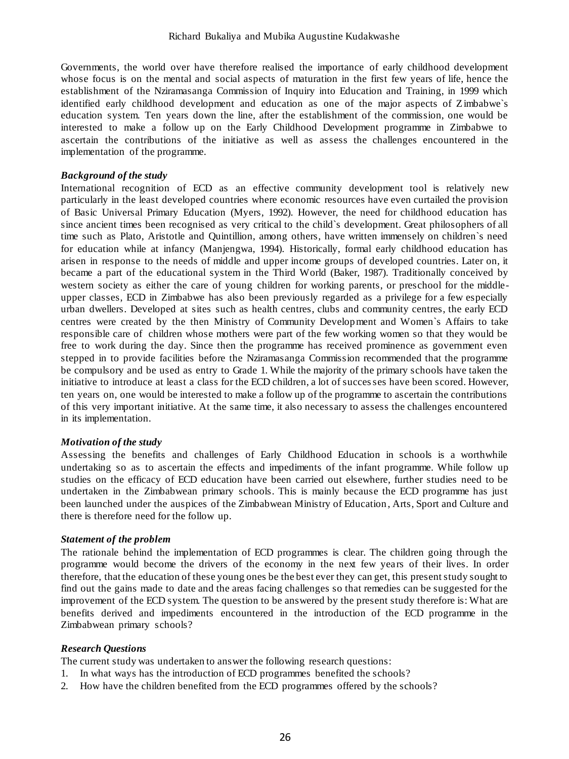Governments, the world over have therefore realised the importance of early childhood development whose focus is on the mental and social aspects of maturation in the first few years of life, hence the establishment of the Nziramasanga Commission of Inquiry into Education and Training, in 1999 which identified early childhood development and education as one of the major aspects of Zimbabwe`s education system. Ten years down the line, after the establishment of the commission, one would be interested to make a follow up on the Early Childhood Development programme in Zimbabwe to ascertain the contributions of the initiative as well as assess the challenges encountered in the implementation of the programme.

#### *Background of the study*

International recognition of ECD as an effective community development tool is relatively new particularly in the least developed countries where economic resources have even curtailed the provision of Basic Universal Primary Education (Myers, 1992). However, the need for childhood education has since ancient times been recognised as very critical to the child`s development. Great philosophers of all time such as Plato, Aristotle and Quintillion, among others, have written immensely on children`s need for education while at infancy (Manjengwa, 1994). Historically, formal early childhood education has arisen in response to the needs of middle and upper income groups of developed countries. Later on, it became a part of the educational system in the Third World (Baker, 1987). Traditionally conceived by western society as either the care of young children for working parents, or preschool for the middleupper classes, ECD in Zimbabwe has also been previously regarded as a privilege for a few especially urban dwellers. Developed at sites such as health centres, clubs and community centres, the early ECD centres were created by the then Ministry of Community Development and Women`s Affairs to take responsible care of children whose mothers were part of the few working women so that they would be free to work during the day. Since then the programme has received prominence as government even stepped in to provide facilities before the Nziramasanga Commission recommended that the programme be compulsory and be used as entry to Grade 1. While the majority of the primary schools have taken the initiative to introduce at least a class for the ECD children, a lot of successes have been scored. However, ten years on, one would be interested to make a follow up of the programme to ascertain the contributions of this very important initiative. At the same time, it also necessary to assess the challenges encountered in its implementation.

#### *Motivation of the study*

Assessing the benefits and challenges of Early Childhood Education in schools is a worthwhile undertaking so as to ascertain the effects and impediments of the infant programme. While follow up studies on the efficacy of ECD education have been carried out elsewhere, further studies need to be undertaken in the Zimbabwean primary schools. This is mainly because the ECD programme has just been launched under the auspices of the Zimbabwean Ministry of Education , Arts, Sport and Culture and there is therefore need for the follow up.

#### *Statement of the problem*

The rationale behind the implementation of ECD programmes is clear. The children going through the programme would become the drivers of the economy in the next few years of their lives. In order therefore, that the education of these young ones be the best ever they can get, this present study sought to find out the gains made to date and the areas facing challenges so that remedies can be suggested for the improvement of the ECD system. The question to be answered by the present study therefore is: What are benefits derived and impediments encountered in the introduction of the ECD programme in the Zimbabwean primary schools?

#### *Research Questions*

The current study was undertaken to answer the following research questions:

- 1. In what ways has the introduction of ECD programmes benefited the schools?
- 2. How have the children benefited from the ECD programmes offered by the schools?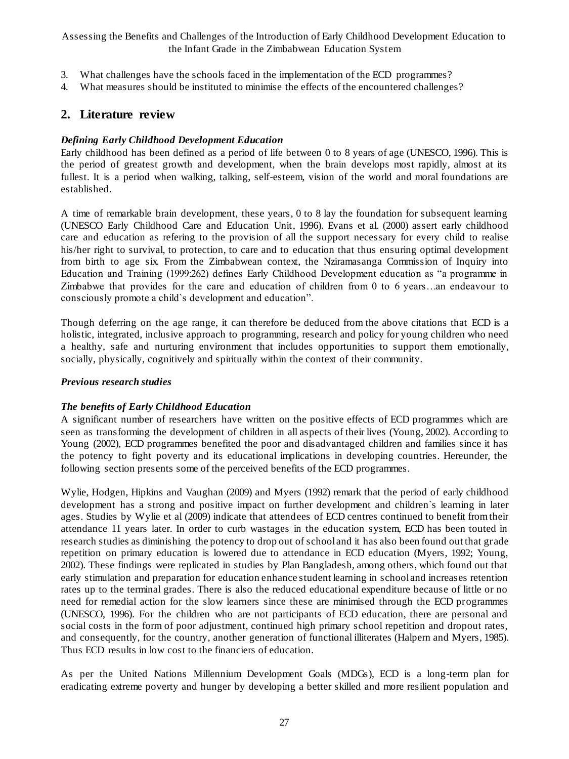- 3. What challenges have the schools faced in the implementation of the ECD programmes?
- 4. What measures should be instituted to minimise the effects of the encountered challenges?

## **2. Literature review**

#### *Defining Early Childhood Development Education*

Early childhood has been defined as a period of life between 0 to 8 years of age (UNESCO, 1996). This is the period of greatest growth and development, when the brain develops most rapidly, almost at its fullest. It is a period when walking, talking, self-esteem, vision of the world and moral foundations are established.

A time of remarkable brain development, these years, 0 to 8 lay the foundation for subsequent learning [\(UNESCO Early Childhood Care and Education Unit,](http://www.unesco.org/en/early-childhood/) 1996). Evans et al. (2000) assert early childhood care and education as refering to the provision of all the support necessary for every child to realise his/her right to survival, to protection, to care and to education that thus ensuring optimal development from birth to age six. From the Zimbabwean context, the Nziramasanga Commission of Inquiry into Education and Training (1999:262) defines Early Childhood Development education as "a programme in Zimbabwe that provides for the care and education of children from 0 to 6 years…an endeavour to consciously promote a child`s development and education".

Though deferring on the age range, it can therefore be deduced from the above citations that ECD is a holistic, integrated, inclusive approach to programming, research and policy for young children who need a healthy, safe and nurturing environment that includes opportunities to support them emotionally, socially, physically, cognitively and spiritually within the context of their community.

#### *Previous research studies*

#### *The benefits of Early Childhood Education*

A significant number of researchers have written on the positive effects of ECD programmes which are seen as transforming the development of children in all aspects of their lives (Young, 2002). According to Young (2002), ECD programmes benefited the poor and disadvantaged children and families since it has the potency to fight poverty and its educational implications in developing countries. Hereunder, the following section presents some of the perceived benefits of the ECD programmes.

Wylie, Hodgen, Hipkins and Vaughan (2009) and Myers (1992) remark that the period of early childhood development has a strong and positive impact on further development and children`s learning in later ages. Studies by Wylie et al (2009) indicate that attendees of ECD centres continued to benefit from their attendance 11 years later. In order to curb wastages in the education system, ECD has been touted in research studies as diminishing the potency to drop out of school and it has also been found out that grade repetition on primary education is lowered due to attendance in ECD education (Myers, 1992; Young, 2002). These findings were replicated in studies by Plan Bangladesh, among others, which found out that early stimulation and preparation for education enhance student learning in school and increases retention rates up to the terminal grades. There is also the reduced educational expenditure because of little or no need for remedial action for the slow learners since these are minimised through the ECD programmes (UNESCO, 1996). For the children who are not participants of ECD education, there are personal and social costs in the form of poor adjustment, continued high primary school repetition and dropout rates, and consequently, for the country, another generation of functional illiterates (Halpern and Myers, 1985). Thus ECD results in low cost to the financiers of education.

As per the United Nations Millennium Development Goals (MDGs), ECD is a long-term plan for eradicating extreme poverty and hunger by developing a better skilled and more resilient population and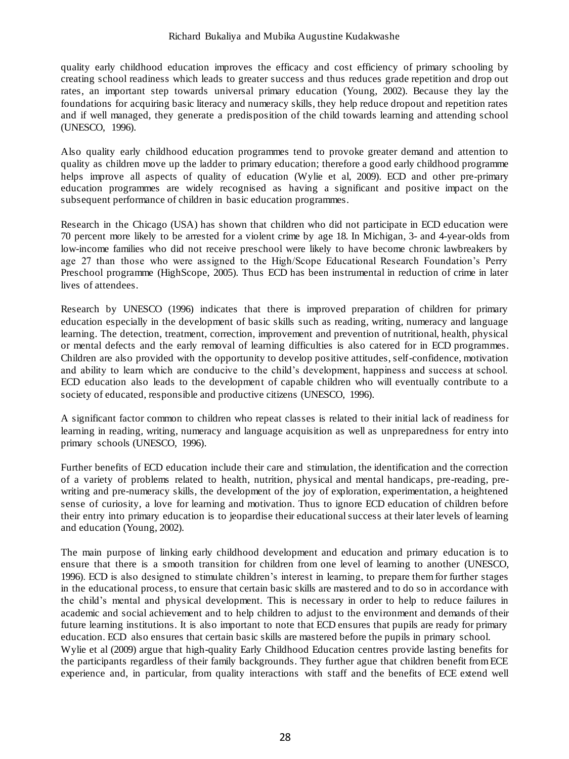#### Richard Bukaliya and Mubika Augustine Kudakwashe

quality early childhood education improves the efficacy and cost efficiency of primary schooling by creating school readiness which leads to greater success and thus reduces grade repetition and drop out rates, an important step towards universal primary education (Young, 2002). Because they lay the foundations for acquiring basic literacy and numeracy skills, they help reduce dropout and repetition rates and if well managed, they generate a predisposition of the child towards learning and attending school (UNESCO, 1996).

Also quality early childhood education programmes tend to provoke greater demand and attention to quality as children move up the ladder to primary education; therefore a good early childhood programme helps improve all aspects of quality of education (Wylie et al, 2009). ECD and other pre-primary education programmes are widely recognised as having a significant and positive impact on the subsequent performance of children in basic education programmes.

Research in the Chicago (USA) has shown that children who did not participate in ECD education were 70 percent more likely to be arrested for a violent crime by age 18. In Michigan, 3- and 4-year-olds from low-income families who did not receive preschool were likely to have become chronic lawbreakers by age 27 than those who were assigned to the High/Scope Educational Research Foundation's Perry Preschool programme (HighScope, 2005). Thus ECD has been instrumental in reduction of crime in later lives of attendees.

Research by UNESCO (1996) indicates that there is improved preparation of children for primary education especially in the development of basic skills such as reading, writing, numeracy and language learning. The detection, treatment, correction, improvement and prevention of nutritional, health, physical or mental defects and the early removal of learning difficulties is also catered for in ECD programmes. Children are also provided with the opportunity to develop positive attitudes, self-confidence, motivation and ability to learn which are conducive to the child's development, happiness and success at school. ECD education also leads to the development of capable children who will eventually contribute to a society of educated, responsible and productive citizens (UNESCO, 1996).

A significant factor common to children who repeat classes is related to their initial lack of readiness for learning in reading, writing, numeracy and language acquisition as well as unpreparedness for entry into primary schools (UNESCO, 1996).

Further benefits of ECD education include their care and stimulation, the identification and the correction of a variety of problems related to health, nutrition, physical and mental handicaps, pre-reading, prewriting and pre-numeracy skills, the development of the joy of exploration, experimentation, a heightened sense of curiosity, a love for learning and motivation. Thus to ignore ECD education of children before their entry into primary education is to jeopardise their educational success at their later levels of learning and education (Young, 2002).

The main purpose of linking early childhood development and education and primary education is to ensure that there is a smooth transition for children from one level of learning to another (UNESCO, 1996). ECD is also designed to stimulate children's interest in learning, to prepare them for further stages in the educational process, to ensure that certain basic skills are mastered and to do so in accordance with the child's mental and physical development. This is necessary in order to help to reduce failures in academic and social achievement and to help children to adjust to the environment and demands of their future learning institutions. It is also important to note that ECD ensures that pupils are ready for primary education. ECD also ensures that certain basic skills are mastered before the pupils in primary school. Wylie et al (2009) argue that high-quality Early Childhood Education centres provide lasting benefits for the participants regardless of their family backgrounds. They further ague that children benefit from ECE experience and, in particular, from quality interactions with staff and the benefits of ECE extend well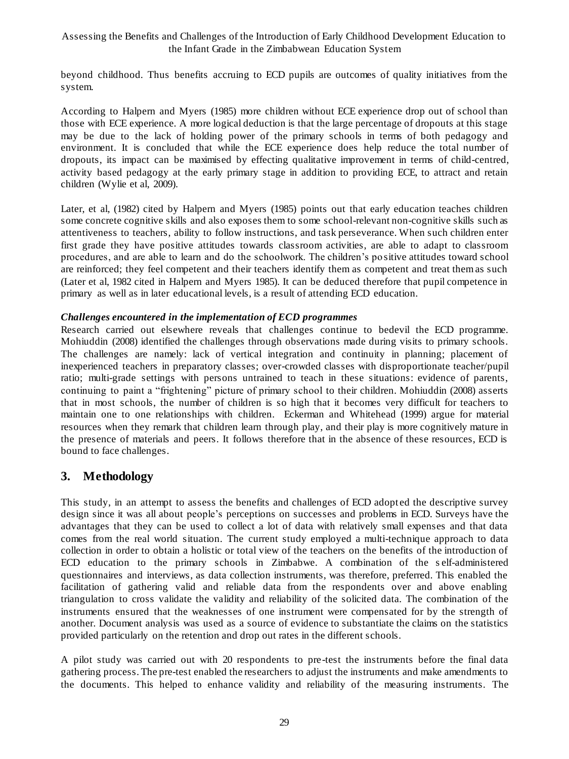beyond childhood. Thus benefits accruing to ECD pupils are outcomes of quality initiatives from the system.

According to Halpern and Myers (1985) more children without ECE experience drop out of school than those with ECE experience. A more logical deduction is that the large percentage of dropouts at this stage may be due to the lack of holding power of the primary schools in terms of both pedagogy and environment. It is concluded that while the ECE experience does help reduce the total number of dropouts, its impact can be maximised by effecting qualitative improvement in terms of child-centred, activity based pedagogy at the early primary stage in addition to providing ECE, to attract and retain children (Wylie et al, 2009).

Later, et al, (1982) cited by Halpern and Myers (1985) points out that early education teaches children some concrete cognitive skills and also exposes them to some school-relevant non-cognitive skills such as attentiveness to teachers, ability to follow instructions, and task perseverance. When such children enter first grade they have positive attitudes towards classroom activities, are able to adapt to classroom procedures, and are able to learn and do the schoolwork. The children's po sitive attitudes toward school are reinforced; they feel competent and their teachers identify them as competent and treat them as such (Later et al, 1982 cited in Halpern and Myers 1985). It can be deduced therefore that pupil competence in primary as well as in later educational levels, is a result of attending ECD education.

#### *Challenges encountered in the implementation of ECD programmes*

Research carried out elsewhere reveals that challenges continue to bedevil the ECD programme. Mohiuddin (2008) identified the challenges through observations made during visits to primary schools. The challenges are namely: lack of vertical integration and continuity in planning; placement of inexperienced teachers in preparatory classes; over-crowded classes with disproportionate teacher/pupil ratio; multi-grade settings with persons untrained to teach in these situations: evidence of parents, continuing to paint a "frightening" picture of primary school to their children. Mohiuddin (2008) asserts that in most schools, the number of children is so high that it becomes very difficult for teachers to maintain one to one relationships with children. Eckerman and Whitehead (1999) argue for material resources when they remark that children learn through play, and their play is more cognitively mature in the presence of materials and peers. It follows therefore that in the absence of these resources, ECD is bound to face challenges.

# **3. Methodology**

This study, in an attempt to assess the benefits and challenges of ECD adopted the descriptive survey design since it was all about people's perceptions on successes and problems in ECD. Surveys have the advantages that they can be used to collect a lot of data with relatively small expenses and that data comes from the real world situation. The current study employed a multi-technique approach to data collection in order to obtain a holistic or total view of the teachers on the benefits of the introduction of ECD education to the primary schools in Zimbabwe. A combination of the s elf-administered questionnaires and interviews, as data collection instruments, was therefore, preferred. This enabled the facilitation of gathering valid and reliable data from the respondents over and above enabling triangulation to cross validate the validity and reliability of the solicited data. The combination of the instruments ensured that the weaknesses of one instrument were compensated for by the strength of another. Document analysis was used as a source of evidence to substantiate the claims on the statistics provided particularly on the retention and drop out rates in the different schools.

A pilot study was carried out with 20 respondents to pre-test the instruments before the final data gathering process. The pre-test enabled the researchers to adjust the instruments and make amendments to the documents. This helped to enhance validity and reliability of the measuring instruments. The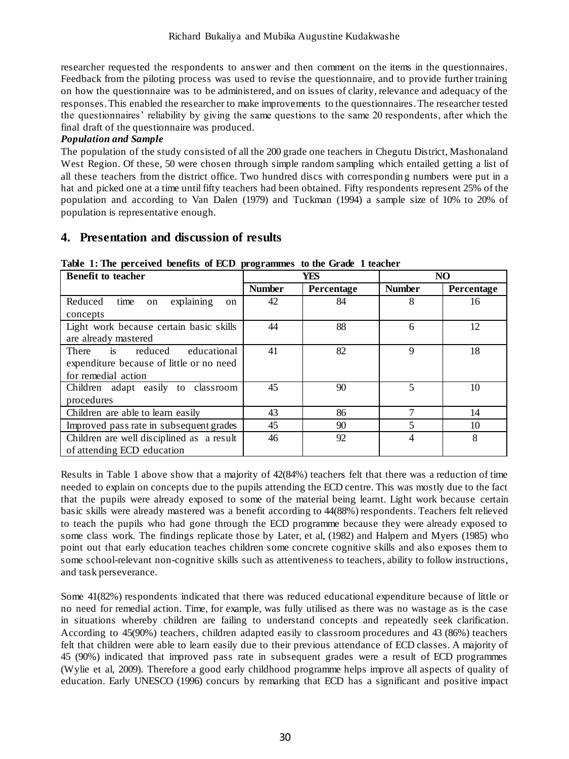researcher requested the respondents to answer and then comment on the items in the questionnaires. Feedback from the piloting process was used to revise the questionnaire, and to provide further training on how the questionnaire was to be administered, and on issues of clarity, relevance and adequacy of the responses. This enabled the researcher to make improvements to the questionnaires. The researcher tested the questionnaires' reliability by giving the same questions to the same 20 respondents, after which the final draft of the questionnaire was produced.

### *Population and Sample*

The population of the study consisted of all the 200 grade one teachers in Chegutu District, Mashonaland West Region. Of these, 50 were chosen through simple random sampling which entailed getting a list of all these teachers from the district office. Two hundred discs with correspondin g numbers were put in a hat and picked one at a time until fifty teachers had been obtained. Fifty respondents represent 25% of the population and according to Van Dalen (1979) and Tuckman (1994) a sample size of 10% to 20% of population is representative enough.

# **4. Presentation and discussion of results**

| <b>Benefit to teacher</b>                                                                          |               | YES        | NO            |            |
|----------------------------------------------------------------------------------------------------|---------------|------------|---------------|------------|
|                                                                                                    | <b>Number</b> | Percentage | <b>Number</b> | Percentage |
| explaining<br>time<br>Reduced<br>on<br>on<br>concepts                                              | 42            | 84         | 8             | 16         |
| Light work because certain basic skills<br>are already mastered                                    | 44            | 88         | 6             | 12         |
| There is reduced<br>educational<br>expenditure because of little or no need<br>for remedial action | 41            | 82         | $\mathbf Q$   | 18         |
| Children adapt easily to classroom<br>procedures                                                   | 45            | 90         |               | 10         |
| Children are able to learn easily                                                                  | 43            | 86         |               | 14         |
| Improved pass rate in subsequent grades                                                            | 45            | 90         |               | 10         |
| Children are well disciplined as a result<br>of attending ECD education                            | 46            | 92         |               | 8          |

**Table 1: The perceived benefits of ECD programmes to the Grade 1 teacher** 

Results in Table 1 above show that a majority of 42(84%) teachers felt that there was a reduction of time needed to explain on concepts due to the pupils attending the ECD centre. This was mostly due to the fact that the pupils were already exposed to some of the material being learnt. Light work because certain basic skills were already mastered was a benefit according to 44(88%) respondents. Teachers felt relieved to teach the pupils who had gone through the ECD programme because they were already exposed to some class work. The findings replicate those by Later, et al, (1982) and Halpern and Myers (1985) who point out that early education teaches children some concrete cognitive skills and also exposes them to some school-relevant non-cognitive skills such as attentiveness to teachers, ability to follow instructions, and task perseverance.

Some 41(82%) respondents indicated that there was reduced educational expenditure because of little or no need for remedial action. Time, for example, was fully utilised as there was no wastage as is the case in situations whereby children are failing to understand concepts and repeatedly seek clarification. According to 45(90%) teachers, children adapted easily to classroom procedures and 43 (86%) teachers felt that children were able to learn easily due to their previous attendance of ECD classes. A majority of 45 (90%) indicated that improved pass rate in subsequent grades were a result of ECD programmes (Wylie et al, 2009). Therefore a good early childhood programme helps improve all aspects of quality of education. Early UNESCO (1996) concurs by remarking that ECD has a significant and positive impact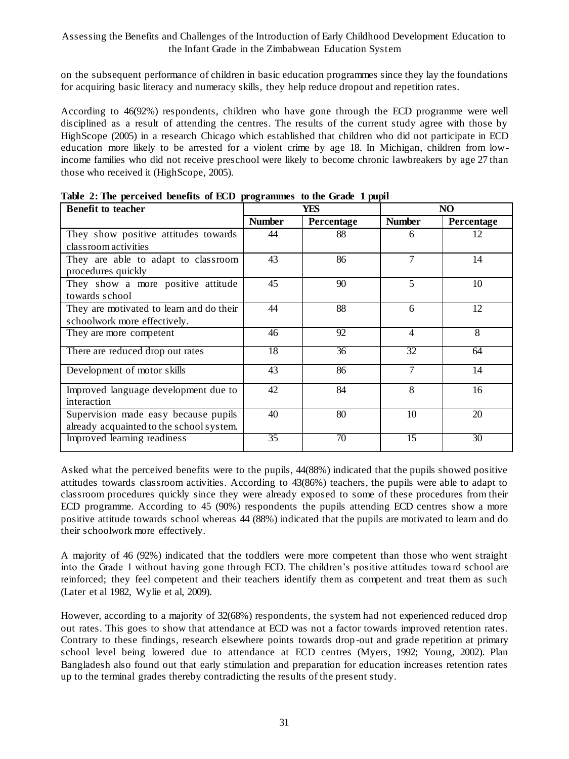on the subsequent performance of children in basic education programmes since they lay the foundations for acquiring basic literacy and numeracy skills, they help reduce dropout and repetition rates.

According to 46(92%) respondents, children who have gone through the ECD programme were well disciplined as a result of attending the centres. The results of the current study agree with those by HighScope (2005) in a research Chicago which established that children who did not participate in ECD education more likely to be arrested for a violent crime by age 18. In Michigan, children from lowincome families who did not receive preschool were likely to become chronic lawbreakers by age 27 than those who received it (HighScope, 2005).

| <b>Benefit to teacher</b>                                                          |               | YES        |                | NO         |  |
|------------------------------------------------------------------------------------|---------------|------------|----------------|------------|--|
|                                                                                    | <b>Number</b> | Percentage | <b>Number</b>  | Percentage |  |
| They show positive attitudes towards                                               | 44            | 88         | 6              | 12         |  |
| class room activities<br>They are able to adapt to classroom<br>procedures quickly | 43            | 86         | $\overline{7}$ | 14         |  |
| They show a more positive attitude<br>towards school                               | 45            | 90         | 5              | 10         |  |
| They are motivated to learn and do their<br>schoolwork more effectively.           | 44            | 88         | 6              | 12         |  |
| They are more competent                                                            | 46            | 92         | $\overline{4}$ | 8          |  |
| There are reduced drop out rates                                                   | 18            | 36         | 32             | 64         |  |
| Development of motor skills                                                        | 43            | 86         | 7              | 14         |  |
| Improved language development due to<br>interaction                                | 42            | 84         | 8              | 16         |  |
| Supervision made easy because pupils<br>already acquainted to the school system.   | 40            | 80         | 10             | 20         |  |
| Improved learning readiness                                                        | 35            | 70         | 15             | 30         |  |

**Table 2: The perceived benefits of ECD programmes to the Grade 1 pupil** 

Asked what the perceived benefits were to the pupils, 44(88%) indicated that the pupils showed positive attitudes towards classroom activities. According to 43(86%) teachers, the pupils were able to adapt to classroom procedures quickly since they were already exposed to some of these procedures from their ECD programme. According to 45 (90%) respondents the pupils attending ECD centres show a more positive attitude towards school whereas 44 (88%) indicated that the pupils are motivated to learn and do their schoolwork more effectively.

A majority of 46 (92%) indicated that the toddlers were more competent than those who went straight into the Grade 1 without having gone through ECD. The children's positive attitudes towa rd school are reinforced; they feel competent and their teachers identify them as competent and treat them as such (Later et al 1982, Wylie et al, 2009).

However, according to a majority of 32(68%) respondents, the system had not experienced reduced drop out rates. This goes to show that attendance at ECD was not a factor towards improved retention rates. Contrary to these findings, research elsewhere points towards drop-out and grade repetition at primary school level being lowered due to attendance at ECD centres (Myers, 1992; Young, 2002). Plan Bangladesh also found out that early stimulation and preparation for education increases retention rates up to the terminal grades thereby contradicting the results of the present study.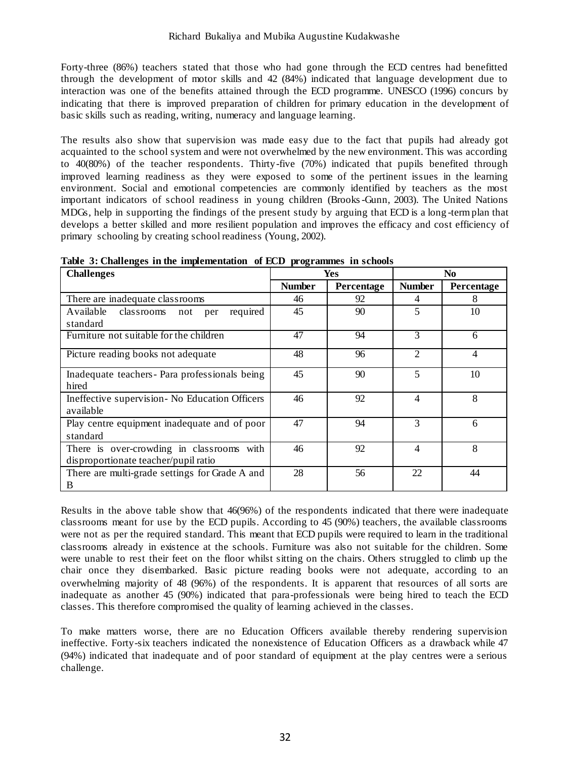Forty-three (86%) teachers stated that those who had gone through the ECD centres had benefitted through the development of motor skills and 42 (84%) indicated that language development due to interaction was one of the benefits attained through the ECD programme. UNESCO (1996) concurs by indicating that there is improved preparation of children for primary education in the development of basic skills such as reading, writing, numeracy and language learning.

The results also show that supervision was made easy due to the fact that pupils had already got acquainted to the school system and were not overwhelmed by the new environment. This was according to 40(80%) of the teacher respondents. Thirty-five (70%) indicated that pupils benefited through improved learning readiness as they were exposed to some of the pertinent issues in the learning environment. Social and emotional competencies are commonly identified by teachers as the most important indicators of school readiness in young children (Brooks-Gunn, 2003). The United Nations MDGs, help in supporting the findings of the present study by arguing that ECD is a long -term plan that develops a better skilled and more resilient population and improves the efficacy and cost efficiency of primary schooling by creating school readiness (Young, 2002).

| <b>Challenges</b>                                                                 |               | Yes        | No.            |            |
|-----------------------------------------------------------------------------------|---------------|------------|----------------|------------|
|                                                                                   | <b>Number</b> | Percentage | <b>Number</b>  | Percentage |
| There are inadequate classrooms                                                   | 46            | 92         | 4              | 8          |
| Available<br>required<br>classrooms not per<br>standard                           | 45            | 90         | 5              | 10         |
| Furniture not suitable for the children                                           | 47            | 94         | 3              | 6          |
| Picture reading books not adequate                                                | 48            | 96         | $\mathfrak{D}$ | 4          |
| Inadequate teachers- Para professionals being<br>hired                            | 45            | 90         | 5              | 10         |
| Ineffective supervision- No Education Officers<br>available                       | 46            | 92         | 4              | 8          |
| Play centre equipment inadequate and of poor<br>standard                          | 47            | 94         | 3              | 6          |
| There is over-crowding in classrooms with<br>disproportionate teacher/pupil ratio | 46            | 92         | $\overline{4}$ | 8          |
| There are multi-grade settings for Grade A and<br>B                               | 28            | 56         | 22             | 44         |

**Table 3: Challenges in the implementation of ECD programmes in schools**

Results in the above table show that 46(96%) of the respondents indicated that there were inadequate classrooms meant for use by the ECD pupils. According to 45 (90%) teachers, the available classrooms were not as per the required standard. This meant that ECD pupils were required to learn in the traditional classrooms already in existence at the schools. Furniture was also not suitable for the children. Some were unable to rest their feet on the floor whilst sitting on the chairs. Others struggled to climb up the chair once they disembarked. Basic picture reading books were not adequate, according to an overwhelming majority of 48 (96%) of the respondents. It is apparent that resources of all sorts are inadequate as another 45 (90%) indicated that para-professionals were being hired to teach the ECD classes. This therefore compromised the quality of learning achieved in the classes.

To make matters worse, there are no Education Officers available thereby rendering supervision ineffective. Forty-six teachers indicated the nonexistence of Education Officers as a drawback while 47 (94%) indicated that inadequate and of poor standard of equipment at the play centres were a serious challenge.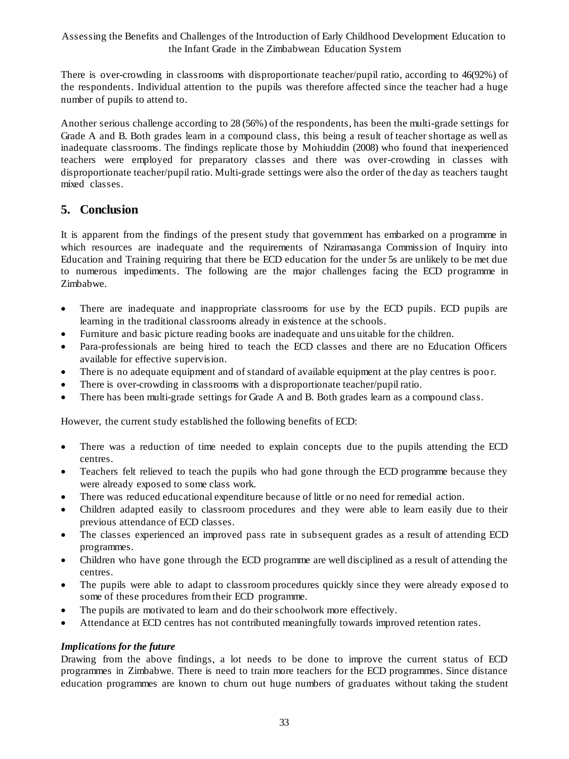There is over-crowding in classrooms with disproportionate teacher/pupil ratio, according to 46(92%) of the respondents. Individual attention to the pupils was therefore affected since the teacher had a huge number of pupils to attend to.

Another serious challenge according to 28 (56%) of the respondents, has been the multi-grade settings for Grade A and B. Both grades learn in a compound class, this being a result of teacher shortage as well as inadequate classrooms. The findings replicate those by Mohiuddin (2008) who found that inexperienced teachers were employed for preparatory classes and there was over-crowding in classes with disproportionate teacher/pupil ratio. Multi-grade settings were also the order of the day as teachers taught mixed classes.

# **5. Conclusion**

It is apparent from the findings of the present study that government has embarked on a programme in which resources are inadequate and the requirements of Nziramasanga Commission of Inquiry into Education and Training requiring that there be ECD education for the under 5s are unlikely to be met due to numerous impediments. The following are the major challenges facing the ECD programme in Zimbabwe.

- There are inadequate and inappropriate classrooms for use by the ECD pupils. ECD pupils are learning in the traditional classrooms already in existence at the schools.
- Furniture and basic picture reading books are inadequate and uns uitable for the children.
- Para-professionals are being hired to teach the ECD classes and there are no Education Officers available for effective supervision.
- There is no adequate equipment and of standard of available equipment at the play centres is poor.
- There is over-crowding in classrooms with a disproportionate teacher/pupil ratio.
- There has been multi-grade settings for Grade A and B. Both grades learn as a compound class.

However, the current study established the following benefits of ECD:

- There was a reduction of time needed to explain concepts due to the pupils attending the ECD centres.
- Teachers felt relieved to teach the pupils who had gone through the ECD programme because they were already exposed to some class work.
- There was reduced educational expenditure because of little or no need for remedial action.
- Children adapted easily to classroom procedures and they were able to learn easily due to their previous attendance of ECD classes.
- The classes experienced an improved pass rate in subsequent grades as a result of attending ECD programmes.
- Children who have gone through the ECD programme are well disciplined as a result of attending the centres.
- The pupils were able to adapt to classroom procedures quickly since they were already exposed to some of these procedures from their ECD programme.
- The pupils are motivated to learn and do their schoolwork more effectively.
- Attendance at ECD centres has not contributed meaningfully towards improved retention rates.

### *Implications for the future*

Drawing from the above findings, a lot needs to be done to improve the current status of ECD programmes in Zimbabwe. There is need to train more teachers for the ECD programmes. Since distance education programmes are known to churn out huge numbers of graduates without taking the student